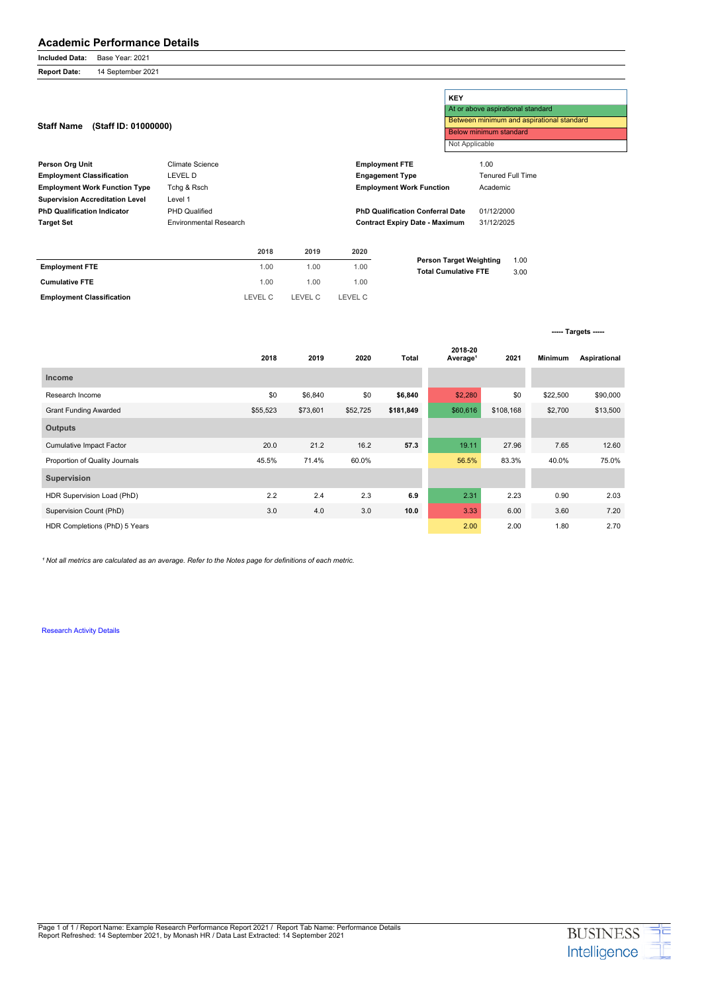## **Academic Performance Details**

**Included Data:** Base Year: 2021

**Report Date:** 14 September 2021

**2018 2019 2020 Total 2018-20 Average¹ 2021 Minimum Aspirational Income** Research Income \$0 \$6,840 \$0 **\$6,840 \$2,280 \$0 \$22,500** \$90,000 Grant Funding Awarded **555,523** \$55,523 \$73,601 \$52,725 \$181,849 \$60,616 \$108,168 \$2,700 \$13,500 **Outputs** Cumulative Impact Factor 20.0 21.2 16.2 **57.3** 19.11 27.96 7.65 12.60 Proportion of Quality Journals **60.0%** 45.5% 71.4% 60.0% 56.5% 83.3% 40.0% 75.0% **Supervision** HDR Supervision Load (PhD) 2.2 2.4 2.3 **6.9** 2.31 2.23 0.90 2.03 Supervision Count (PhD) 3.0 4.0 3.0 **10.0** 3.33 6.00 3.60 7.20 HDR Completions (PhD) 5 Years 2.70

<sup>1</sup> Not all metrics are calculated as an average. Refer to the Notes page for definitions of each metric.

[Research Activity Details](https://www.monash.edu)

**Employment Classification** LEVEL C LEVEL C LEVEL C

|                                           |                        |      |                                           |                        | <b>KEY</b>                                                    |            |                                   |  |  |
|-------------------------------------------|------------------------|------|-------------------------------------------|------------------------|---------------------------------------------------------------|------------|-----------------------------------|--|--|
|                                           |                        |      |                                           |                        |                                                               |            | At or above aspirational standard |  |  |
|                                           |                        |      | Between minimum and aspirational standard |                        |                                                               |            |                                   |  |  |
| (Staff ID: 01000000)<br><b>Staff Name</b> |                        |      |                                           | Below minimum standard |                                                               |            |                                   |  |  |
|                                           |                        |      |                                           |                        | Not Applicable                                                |            |                                   |  |  |
| <b>Person Org Unit</b>                    | Climate Science        |      |                                           | <b>Employment FTE</b>  |                                                               | 1.00       |                                   |  |  |
| <b>Employment Classification</b>          | LEVEL D                |      |                                           |                        | <b>Engagement Type</b>                                        |            | <b>Tenured Full Time</b>          |  |  |
| <b>Employment Work Function Type</b>      | Tchg & Rsch            |      |                                           |                        | <b>Employment Work Function</b>                               | Academic   |                                   |  |  |
| <b>Supervision Accreditation Level</b>    | Level 1                |      |                                           |                        |                                                               |            |                                   |  |  |
| <b>PhD Qualification Indicator</b>        | <b>PHD Qualified</b>   |      |                                           |                        | <b>PhD Qualification Conferral Date</b>                       | 01/12/2000 |                                   |  |  |
| <b>Target Set</b>                         | Environmental Research |      |                                           |                        | <b>Contract Expiry Date - Maximum</b>                         | 31/12/2025 |                                   |  |  |
|                                           |                        |      |                                           |                        |                                                               |            |                                   |  |  |
|                                           |                        | 2018 | 2019                                      | 2020                   |                                                               |            |                                   |  |  |
| <b>Employment FTE</b>                     |                        | 1.00 | 1.00                                      | 1.00                   | <b>Person Target Weighting</b><br><b>Total Cumulative FTE</b> |            | 1.00<br>3.00                      |  |  |
| <b>Cumulative FTE</b>                     |                        | 1.00 | 1.00                                      | 1.00                   |                                                               |            |                                   |  |  |

**----- Targets -----**

Page 1 of 1 / Report Name: Example Research Performance Report 2021 / Report Tab Name: Performance Details Report Refreshed: 14 September 2021, by Monash HR / Data Last Extracted: 14 September 2021

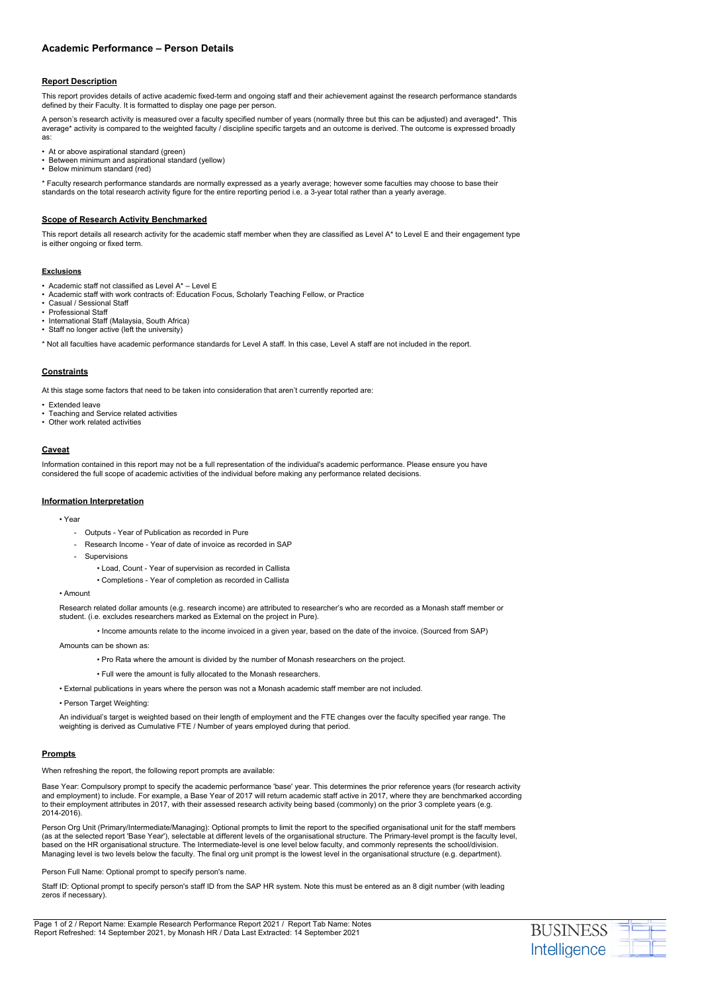# **Academic Performance – Person Details**

#### **Report Description**

This report provides details of active academic fixed-term and ongoing staff and their achievement against the research performance standards defined by their Faculty. It is formatted to display one page per person.

A person's research activity is measured over a faculty specified number of years (normally three but this can be adjusted) and averaged\*. This average\* activity is compared to the weighted faculty / discipline specific targets and an outcome is derived. The outcome is expressed broadly as:

- At or above aspirational standard (green)
- Between minimum and aspirational standard (yellow)
- Below minimum standard (red)

\* Faculty research performance standards are normally expressed as a yearly average; however some faculties may choose to base their standards on the total research activity figure for the entire reporting period i.e. a 3-year total rather than a yearly average.

#### **Scope of Research Activity Benchmarked**

This report details all research activity for the academic staff member when they are classified as Level A\* to Level E and their engagement type is either ongoing or fixed term.

#### **Exclusions**

- Academic staff not classified as Level A\* Level E
- Academic staff with work contracts of: Education Focus, Scholarly Teaching Fellow, or Practice
- Casual / Sessional Staff
- Professional Staff
- International Staff (Malaysia, South Africa)
- Staff no longer active (left the university)

\* Not all faculties have academic performance standards for Level A staff. In this case, Level A staff are not included in the report.

#### **Constraints**

At this stage some factors that need to be taken into consideration that aren't currently reported are:

- Extended leave
- Teaching and Service related activities
- Other work related activities

#### **Caveat**

Information contained in this report may not be a full representation of the individual's academic performance. Please ensure you have considered the full scope of academic activities of the individual before making any performance related decisions.

### **Information Interpretation**

#### • Year

- Outputs Year of Publication as recorded in Pure
- Research Income Year of date of invoice as recorded in SAP
- **Supervisions** 
	- Load, Count Year of supervision as recorded in Callista
	- Completions Year of completion as recorded in Callista

Staff ID: Optional prompt to specify person's staff ID from the SAP HR system. Note this must be entered as an 8 digit number (with leading zeros if necessary).

• Amount

Research related dollar amounts (e.g. research income) are attributed to researcher's who are recorded as a Monash staff member or student. (i.e. excludes researchers marked as External on the project in Pure).

• Income amounts relate to the income invoiced in a given year, based on the date of the invoice. (Sourced from SAP)

Amounts can be shown as:

- Pro Rata where the amount is divided by the number of Monash researchers on the project.
- Full were the amount is fully allocated to the Monash researchers.
- External publications in years where the person was not a Monash academic staff member are not included.

• Person Target Weighting:

An individual's target is weighted based on their length of employment and the FTE changes over the faculty specified year range. The weighting is derived as Cumulative FTE / Number of years employed during that period.

#### **Prompts**

When refreshing the report, the following report prompts are available:

Base Year: Compulsory prompt to specify the academic performance 'base' year. This determines the prior reference years (for research activity and employment) to include. For example, a Base Year of 2017 will return academic staff active in 2017, where they are benchmarked according to their employment attributes in 2017, with their assessed research activity being based (commonly) on the prior 3 complete years (e.g. 2014-2016).

Person Org Unit (Primary/Intermediate/Managing): Optional prompts to limit the report to the specified organisational unit for the staff members (as at the selected report 'Base Year'), selectable at different levels of the organisational structure. The Primary-level prompt is the faculty level, based on the HR organisational structure. The Intermediate-level is one level below faculty, and commonly represents the school/division. Managing level is two levels below the faculty. The final org unit prompt is the lowest level in the organisational structure (e.g. department).

Person Full Name: Optional prompt to specify person's name.

Page 1 of 2 / Report Name: Example Research Performance Report 2021 / Report Tab Name: Notes Report Refreshed: 14 September 2021, by Monash HR / Data Last Extracted: 14 September 2021